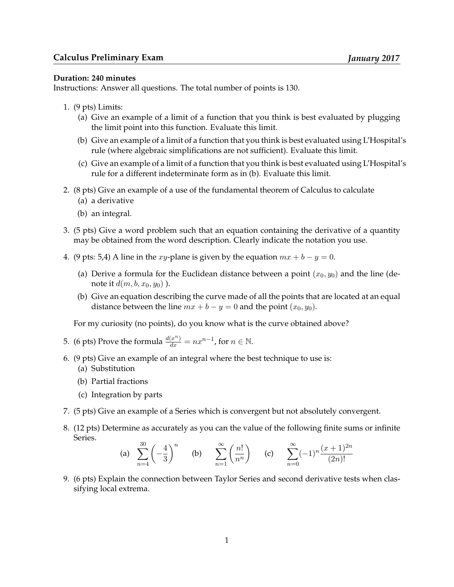## **Duration: 240 minutes**

Instructions: Answer all questions. The total number of points is 130.

- 1. (9 pts) Limits:
	- (a) Give an example of a limit of a function that you think is best evaluated by plugging the limit point into this function. Evaluate this limit.
	- (b) Give an example of a limit of a function that you think is best evaluated using L'Hospital's rule (where algebraic simplifications are not sufficient). Evaluate this limit.
	- (c) Give an example of a limit of a function that you think is best evaluated using L'Hospital's rule for a different indeterminate form as in (b). Evaluate this limit.
- 2. (8 pts) Give an example of a use of the fundamental theorem of Calculus to calculate
	- (a) a derivative
	- (b) an integral.
- 3. (5 pts) Give a word problem such that an equation containing the derivative of a quantity may be obtained from the word description. Clearly indicate the notation you use.
- 4. (9 pts: 5,4) A line in the *xy*-plane is given by the equation  $mx + b y = 0$ .
	- (a) Derive a formula for the Euclidean distance between a point  $(x_0, y_0)$  and the line (denote it  $d(m, b, x_0, y_0)$ ).
	- (b) Give an equation describing the curve made of all the points that are located at an equal distance between the line  $mx + b - y = 0$  and the point  $(x_0, y_0)$ .

For my curiosity (no points), do you know what is the curve obtained above?

- 5. (6 pts) Prove the formula  $\frac{d(x^n)}{dx} = nx^{n-1}$ , for  $n \in \mathbb{N}$ .
- 6. (9 pts) Give an example of an integral where the best technique to use is:
	- (a) Substitution
	- (b) Partial fractions
	- (c) Integration by parts
- 7. (5 pts) Give an example of a Series which is convergent but not absolutely convergent.
- 8. (12 pts) Determine as accurately as you can the value of the following finite sums or infinite Series.  $20$

(a) 
$$
\sum_{n=4}^{30} \left(-\frac{4}{3}\right)^n
$$
 (b)  $\sum_{n=1}^{\infty} \left(\frac{n!}{n^n}\right)$  (c)  $\sum_{n=0}^{\infty} (-1)^n \frac{(x+1)^{2n}}{(2n)!}$ 

9. (6 pts) Explain the connection between Taylor Series and second derivative tests when classifying local extrema.